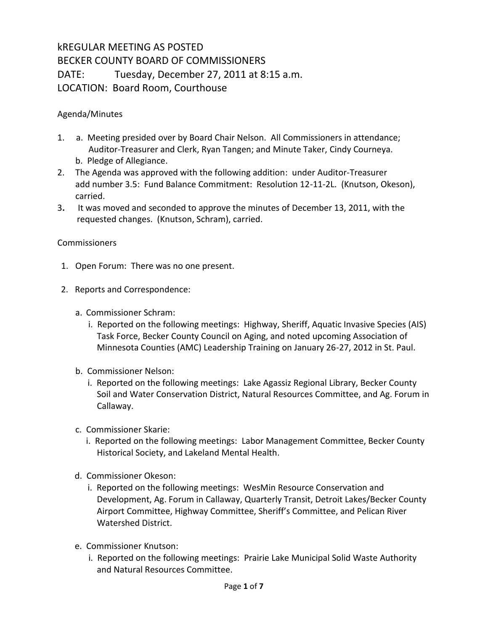## kREGULAR MEETING AS POSTED BECKER COUNTY BOARD OF COMMISSIONERS DATE: Tuesday, December 27, 2011 at 8:15 a.m. LOCATION: Board Room, Courthouse

Agenda/Minutes

- 1. a. Meeting presided over by Board Chair Nelson. All Commissioners in attendance; Auditor-Treasurer and Clerk, Ryan Tangen; and Minute Taker, Cindy Courneya. b. Pledge of Allegiance.
- 2. The Agenda was approved with the following addition: under Auditor-Treasurer add number 3.5: Fund Balance Commitment: Resolution 12-11-2L. (Knutson, Okeson), carried.
- 3**.** It was moved and seconded to approve the minutes of December 13, 2011, with the requested changes. (Knutson, Schram), carried.

## **Commissioners**

- 1. Open Forum: There was no one present.
- 2. Reports and Correspondence:
	- a. Commissioner Schram:
		- i. Reported on the following meetings: Highway, Sheriff, Aquatic Invasive Species (AIS) Task Force, Becker County Council on Aging, and noted upcoming Association of Minnesota Counties (AMC) Leadership Training on January 26-27, 2012 in St. Paul.
	- b. Commissioner Nelson:
		- i. Reported on the following meetings: Lake Agassiz Regional Library, Becker County Soil and Water Conservation District, Natural Resources Committee, and Ag. Forum in Callaway.
	- c. Commissioner Skarie:
		- i. Reported on the following meetings: Labor Management Committee, Becker County Historical Society, and Lakeland Mental Health.
	- d. Commissioner Okeson:
		- i. Reported on the following meetings: WesMin Resource Conservation and Development, Ag. Forum in Callaway, Quarterly Transit, Detroit Lakes/Becker County Airport Committee, Highway Committee, Sheriff's Committee, and Pelican River Watershed District.
	- e. Commissioner Knutson:
		- i. Reported on the following meetings: Prairie Lake Municipal Solid Waste Authority and Natural Resources Committee.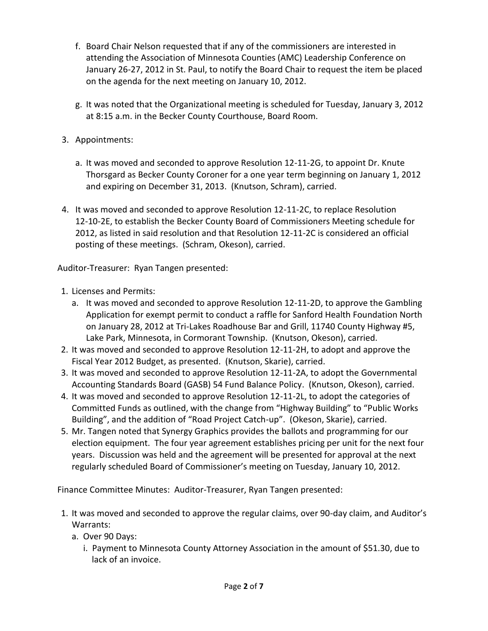- f. Board Chair Nelson requested that if any of the commissioners are interested in attending the Association of Minnesota Counties (AMC) Leadership Conference on January 26-27, 2012 in St. Paul, to notify the Board Chair to request the item be placed on the agenda for the next meeting on January 10, 2012.
- g. It was noted that the Organizational meeting is scheduled for Tuesday, January 3, 2012 at 8:15 a.m. in the Becker County Courthouse, Board Room.
- 3. Appointments:
	- a. It was moved and seconded to approve Resolution 12-11-2G, to appoint Dr. Knute Thorsgard as Becker County Coroner for a one year term beginning on January 1, 2012 and expiring on December 31, 2013. (Knutson, Schram), carried.
- 4. It was moved and seconded to approve Resolution 12-11-2C, to replace Resolution 12-10-2E, to establish the Becker County Board of Commissioners Meeting schedule for 2012, as listed in said resolution and that Resolution 12-11-2C is considered an official posting of these meetings. (Schram, Okeson), carried.

Auditor-Treasurer: Ryan Tangen presented:

- 1. Licenses and Permits:
	- a. It was moved and seconded to approve Resolution 12-11-2D, to approve the Gambling Application for exempt permit to conduct a raffle for Sanford Health Foundation North on January 28, 2012 at Tri-Lakes Roadhouse Bar and Grill, 11740 County Highway #5, Lake Park, Minnesota, in Cormorant Township. (Knutson, Okeson), carried.
- 2. It was moved and seconded to approve Resolution 12-11-2H, to adopt and approve the Fiscal Year 2012 Budget, as presented. (Knutson, Skarie), carried.
- 3. It was moved and seconded to approve Resolution 12-11-2A, to adopt the Governmental Accounting Standards Board (GASB) 54 Fund Balance Policy. (Knutson, Okeson), carried.
- 4. It was moved and seconded to approve Resolution 12-11-2L, to adopt the categories of Committed Funds as outlined, with the change from "Highway Building" to "Public Works Building", and the addition of "Road Project Catch-up". (Okeson, Skarie), carried.
- 5. Mr. Tangen noted that Synergy Graphics provides the ballots and programming for our election equipment. The four year agreement establishes pricing per unit for the next four years. Discussion was held and the agreement will be presented for approval at the next regularly scheduled Board of Commissioner's meeting on Tuesday, January 10, 2012.

Finance Committee Minutes: Auditor-Treasurer, Ryan Tangen presented:

- 1. It was moved and seconded to approve the regular claims, over 90-day claim, and Auditor's Warrants:
	- a. Over 90 Days:
		- i. Payment to Minnesota County Attorney Association in the amount of \$51.30, due to lack of an invoice.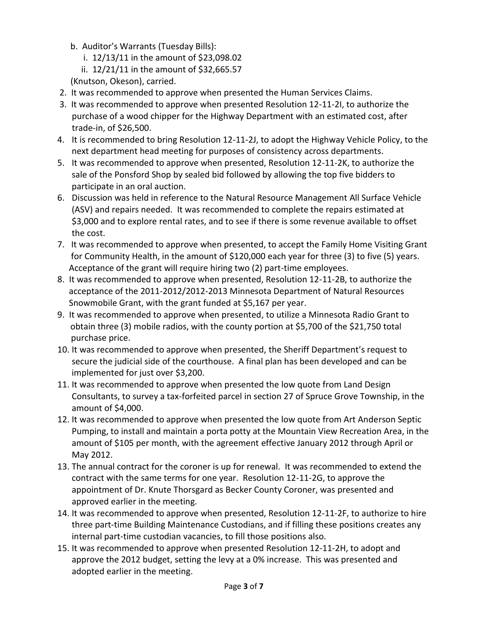- b. Auditor's Warrants (Tuesday Bills):
	- i. 12/13/11 in the amount of \$23,098.02
	- ii. 12/21/11 in the amount of \$32,665.57
- (Knutson, Okeson), carried.
- 2. It was recommended to approve when presented the Human Services Claims.
- 3. It was recommended to approve when presented Resolution 12-11-2I, to authorize the purchase of a wood chipper for the Highway Department with an estimated cost, after trade-in, of \$26,500.
- 4. It is recommended to bring Resolution 12-11-2J, to adopt the Highway Vehicle Policy, to the next department head meeting for purposes of consistency across departments.
- 5. It was recommended to approve when presented, Resolution 12-11-2K, to authorize the sale of the Ponsford Shop by sealed bid followed by allowing the top five bidders to participate in an oral auction.
- 6. Discussion was held in reference to the Natural Resource Management All Surface Vehicle (ASV) and repairs needed. It was recommended to complete the repairs estimated at \$3,000 and to explore rental rates, and to see if there is some revenue available to offset the cost.
- 7. It was recommended to approve when presented, to accept the Family Home Visiting Grant for Community Health, in the amount of \$120,000 each year for three (3) to five (5) years. Acceptance of the grant will require hiring two (2) part-time employees.
- 8. It was recommended to approve when presented, Resolution 12-11-2B, to authorize the acceptance of the 2011-2012/2012-2013 Minnesota Department of Natural Resources Snowmobile Grant, with the grant funded at \$5,167 per year.
- 9. It was recommended to approve when presented, to utilize a Minnesota Radio Grant to obtain three (3) mobile radios, with the county portion at \$5,700 of the \$21,750 total purchase price.
- 10. It was recommended to approve when presented, the Sheriff Department's request to secure the judicial side of the courthouse. A final plan has been developed and can be implemented for just over \$3,200.
- 11. It was recommended to approve when presented the low quote from Land Design Consultants, to survey a tax-forfeited parcel in section 27 of Spruce Grove Township, in the amount of \$4,000.
- 12. It was recommended to approve when presented the low quote from Art Anderson Septic Pumping, to install and maintain a porta potty at the Mountain View Recreation Area, in the amount of \$105 per month, with the agreement effective January 2012 through April or May 2012.
- 13. The annual contract for the coroner is up for renewal. It was recommended to extend the contract with the same terms for one year. Resolution 12-11-2G, to approve the appointment of Dr. Knute Thorsgard as Becker County Coroner, was presented and approved earlier in the meeting.
- 14. It was recommended to approve when presented, Resolution 12-11-2F, to authorize to hire three part-time Building Maintenance Custodians, and if filling these positions creates any internal part-time custodian vacancies, to fill those positions also.
- 15. It was recommended to approve when presented Resolution 12-11-2H, to adopt and approve the 2012 budget, setting the levy at a 0% increase. This was presented and adopted earlier in the meeting.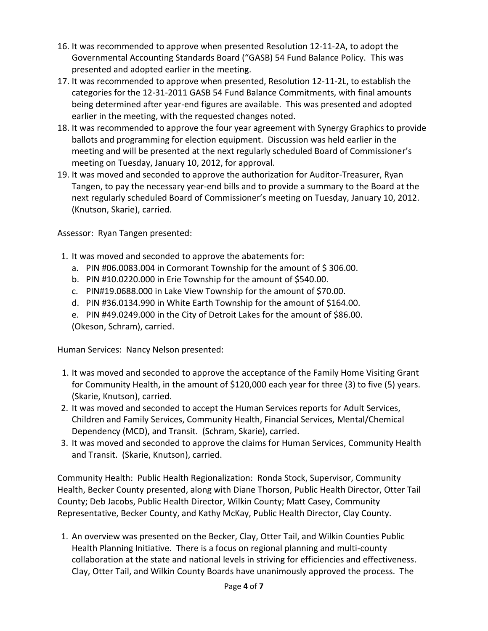- 16. It was recommended to approve when presented Resolution 12-11-2A, to adopt the Governmental Accounting Standards Board ("GASB) 54 Fund Balance Policy. This was presented and adopted earlier in the meeting.
- 17. It was recommended to approve when presented, Resolution 12-11-2L, to establish the categories for the 12-31-2011 GASB 54 Fund Balance Commitments, with final amounts being determined after year-end figures are available. This was presented and adopted earlier in the meeting, with the requested changes noted.
- 18. It was recommended to approve the four year agreement with Synergy Graphics to provide ballots and programming for election equipment. Discussion was held earlier in the meeting and will be presented at the next regularly scheduled Board of Commissioner's meeting on Tuesday, January 10, 2012, for approval.
- 19. It was moved and seconded to approve the authorization for Auditor-Treasurer, Ryan Tangen, to pay the necessary year-end bills and to provide a summary to the Board at the next regularly scheduled Board of Commissioner's meeting on Tuesday, January 10, 2012. (Knutson, Skarie), carried.

Assessor: Ryan Tangen presented:

- 1. It was moved and seconded to approve the abatements for:
	- a. PIN #06.0083.004 in Cormorant Township for the amount of  $\frac{2}{3}$  306.00.
	- b. PIN #10.0220.000 in Erie Township for the amount of \$540.00.
	- c. PIN#19.0688.000 in Lake View Township for the amount of \$70.00.
	- d. PIN #36.0134.990 in White Earth Township for the amount of \$164.00.
	- e. PIN #49.0249.000 in the City of Detroit Lakes for the amount of \$86.00.

(Okeson, Schram), carried.

Human Services: Nancy Nelson presented:

- 1. It was moved and seconded to approve the acceptance of the Family Home Visiting Grant for Community Health, in the amount of \$120,000 each year for three (3) to five (5) years. (Skarie, Knutson), carried.
- 2. It was moved and seconded to accept the Human Services reports for Adult Services, Children and Family Services, Community Health, Financial Services, Mental/Chemical Dependency (MCD), and Transit. (Schram, Skarie), carried.
- 3. It was moved and seconded to approve the claims for Human Services, Community Health and Transit. (Skarie, Knutson), carried.

Community Health: Public Health Regionalization: Ronda Stock, Supervisor, Community Health, Becker County presented, along with Diane Thorson, Public Health Director, Otter Tail County; Deb Jacobs, Public Health Director, Wilkin County; Matt Casey, Community Representative, Becker County, and Kathy McKay, Public Health Director, Clay County.

1. An overview was presented on the Becker, Clay, Otter Tail, and Wilkin Counties Public Health Planning Initiative. There is a focus on regional planning and multi-county collaboration at the state and national levels in striving for efficiencies and effectiveness. Clay, Otter Tail, and Wilkin County Boards have unanimously approved the process. The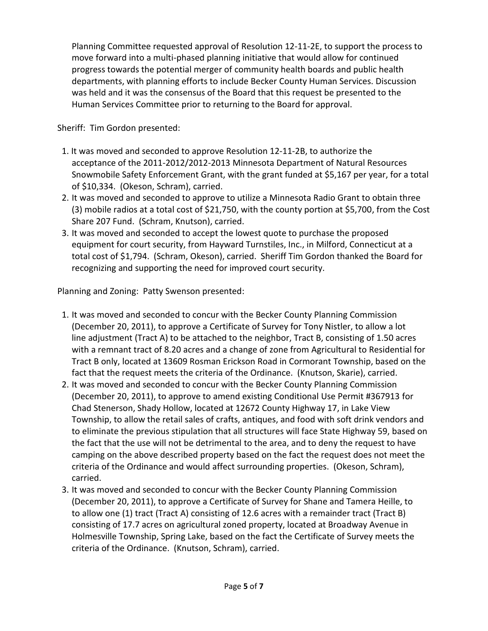Planning Committee requested approval of Resolution 12-11-2E, to support the process to move forward into a multi-phased planning initiative that would allow for continued progress towards the potential merger of community health boards and public health departments, with planning efforts to include Becker County Human Services. Discussion was held and it was the consensus of the Board that this request be presented to the Human Services Committee prior to returning to the Board for approval.

Sheriff: Tim Gordon presented:

- 1. It was moved and seconded to approve Resolution 12-11-2B, to authorize the acceptance of the 2011-2012/2012-2013 Minnesota Department of Natural Resources Snowmobile Safety Enforcement Grant, with the grant funded at \$5,167 per year, for a total of \$10,334. (Okeson, Schram), carried.
- 2. It was moved and seconded to approve to utilize a Minnesota Radio Grant to obtain three (3) mobile radios at a total cost of \$21,750, with the county portion at \$5,700, from the Cost Share 207 Fund. (Schram, Knutson), carried.
- 3. It was moved and seconded to accept the lowest quote to purchase the proposed equipment for court security, from Hayward Turnstiles, Inc., in Milford, Connecticut at a total cost of \$1,794. (Schram, Okeson), carried. Sheriff Tim Gordon thanked the Board for recognizing and supporting the need for improved court security.

Planning and Zoning: Patty Swenson presented:

- 1. It was moved and seconded to concur with the Becker County Planning Commission (December 20, 2011), to approve a Certificate of Survey for Tony Nistler, to allow a lot line adjustment (Tract A) to be attached to the neighbor, Tract B, consisting of 1.50 acres with a remnant tract of 8.20 acres and a change of zone from Agricultural to Residential for Tract B only, located at 13609 Rosman Erickson Road in Cormorant Township, based on the fact that the request meets the criteria of the Ordinance. (Knutson, Skarie), carried.
- 2. It was moved and seconded to concur with the Becker County Planning Commission (December 20, 2011), to approve to amend existing Conditional Use Permit #367913 for Chad Stenerson, Shady Hollow, located at 12672 County Highway 17, in Lake View Township, to allow the retail sales of crafts, antiques, and food with soft drink vendors and to eliminate the previous stipulation that all structures will face State Highway 59, based on the fact that the use will not be detrimental to the area, and to deny the request to have camping on the above described property based on the fact the request does not meet the criteria of the Ordinance and would affect surrounding properties. (Okeson, Schram), carried.
- 3. It was moved and seconded to concur with the Becker County Planning Commission (December 20, 2011), to approve a Certificate of Survey for Shane and Tamera Heille, to to allow one (1) tract (Tract A) consisting of 12.6 acres with a remainder tract (Tract B) consisting of 17.7 acres on agricultural zoned property, located at Broadway Avenue in Holmesville Township, Spring Lake, based on the fact the Certificate of Survey meets the criteria of the Ordinance. (Knutson, Schram), carried.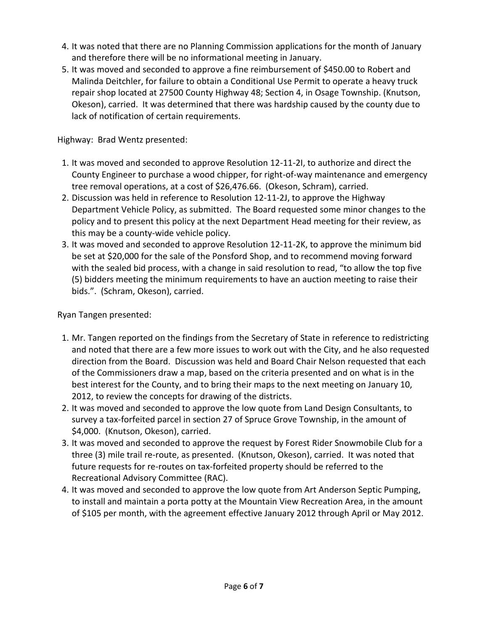- 4. It was noted that there are no Planning Commission applications for the month of January and therefore there will be no informational meeting in January.
- 5. It was moved and seconded to approve a fine reimbursement of \$450.00 to Robert and Malinda Deitchler, for failure to obtain a Conditional Use Permit to operate a heavy truck repair shop located at 27500 County Highway 48; Section 4, in Osage Township. (Knutson, Okeson), carried. It was determined that there was hardship caused by the county due to lack of notification of certain requirements.

Highway: Brad Wentz presented:

- 1. It was moved and seconded to approve Resolution 12-11-2I, to authorize and direct the County Engineer to purchase a wood chipper, for right-of-way maintenance and emergency tree removal operations, at a cost of \$26,476.66. (Okeson, Schram), carried.
- 2. Discussion was held in reference to Resolution 12-11-2J, to approve the Highway Department Vehicle Policy, as submitted. The Board requested some minor changes to the policy and to present this policy at the next Department Head meeting for their review, as this may be a county-wide vehicle policy.
- 3. It was moved and seconded to approve Resolution 12-11-2K, to approve the minimum bid be set at \$20,000 for the sale of the Ponsford Shop, and to recommend moving forward with the sealed bid process, with a change in said resolution to read, "to allow the top five (5) bidders meeting the minimum requirements to have an auction meeting to raise their bids.". (Schram, Okeson), carried.

Ryan Tangen presented:

- 1. Mr. Tangen reported on the findings from the Secretary of State in reference to redistricting and noted that there are a few more issues to work out with the City, and he also requested direction from the Board. Discussion was held and Board Chair Nelson requested that each of the Commissioners draw a map, based on the criteria presented and on what is in the best interest for the County, and to bring their maps to the next meeting on January 10, 2012, to review the concepts for drawing of the districts.
- 2. It was moved and seconded to approve the low quote from Land Design Consultants, to survey a tax-forfeited parcel in section 27 of Spruce Grove Township, in the amount of \$4,000. (Knutson, Okeson), carried.
- 3. It was moved and seconded to approve the request by Forest Rider Snowmobile Club for a three (3) mile trail re-route, as presented. (Knutson, Okeson), carried. It was noted that future requests for re-routes on tax-forfeited property should be referred to the Recreational Advisory Committee (RAC).
- 4. It was moved and seconded to approve the low quote from Art Anderson Septic Pumping, to install and maintain a porta potty at the Mountain View Recreation Area, in the amount of \$105 per month, with the agreement effective January 2012 through April or May 2012.